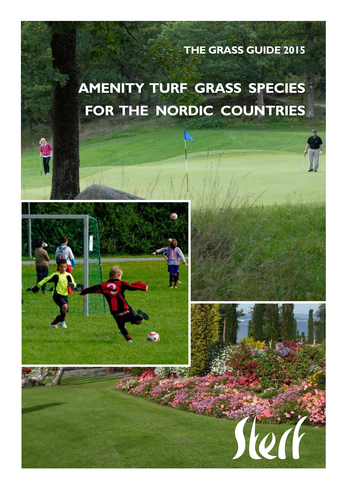**The Grass Guide 2015**

# **Amenity turf grass species for the Nordic countries**



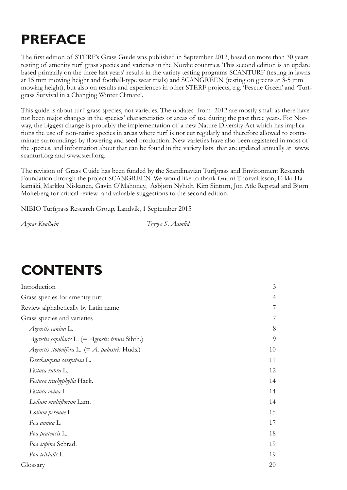# **Preface**

The first edition of STERF's Grass Guide was published in September 2012, based on more than 30 years testing of amenity turf grass species and varieties in the Nordic countries. This second edition is an update based primarily on the three last years' results in the variety testing programs SCANTURF (testing in lawns at 15 mm mowing height and football-type wear trials) and SCANGREEN (testing on greens at 3-5 mm mowing height), but also on results and experiences in other STERF projects, e.g. 'Fescue Green' and 'Turfgrass Survival in a Changing Winter Climate'.

This guide is about turf grass species, not varieties. The updates from 2012 are mostly small as there have not been major changes in the species' characteristics or areas of use during the past three years. For Norway, the biggest change is probably the implementation of a new Nature Diversity Act which has implications the use of non-native species in areas where turf is not cut regularly and therefore allowed to contaminate surroundings by flowering and seed production. New varieties have also been registered in most of the species, and information about that can be found in the variety lists that are updated annually at www. scanturf.org and www.sterf.org.

The revision of Grass Guide has been funded by the Scandinavian Turfgrass and Environment Research Foundation through the project SCANGREEN. We would like to thank Gudni Thorvaldsson, Erkki Hakamäki, Markku Niskanen, Gavin O'Mahoney, Asbjørn Nyholt, Kim Sintorn, Jon Atle Repstad and Bjørn Molteberg for critical review and valuable suggestions to the second edition.

NIBIO Turfgrass Research Group, Landvik, 1 September 2015

*Agnar Kvalbein Trygve S. Aamlid*

# **contents**

| Introduction                                        | $\mathfrak{Z}$ |
|-----------------------------------------------------|----------------|
| Grass species for amenity turf                      | $\overline{4}$ |
| Review alphabetically by Latin name                 | $\overline{7}$ |
| Grass species and varieties                         | $7\phantom{.}$ |
| Agrostis canina L.                                  | 8              |
| Agrostis capillaris L. $(=$ Agrostis tenuis Sibth.) | 9              |
| Agrostis stolonifera L. $(= A.$ palustris Huds.)    | 10             |
| Deschampsia caespitosa L.                           | 11             |
| Festuca rubra L.                                    | 12             |
| Festuca trachyphylla Hack.                          | 14             |
| Festuca ovina L.                                    | 14             |
| Lolium multiflorum Lam.                             | 14             |
| Lolium perenne L.                                   | 15             |
| Poa annua L.                                        | 17             |
| Poa pratensis L.                                    | 18             |
| Poa supina Schrad.                                  | 19             |
| Poa trivialis L.                                    | 19             |
| Glossary                                            | 20             |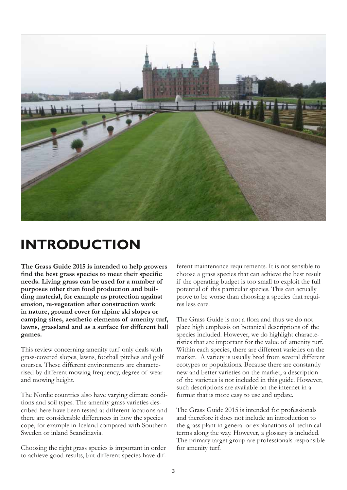

# **Introduction**

**The Grass Guide 2015 is intended to help growers find the best grass species to meet their specific needs. Living grass can be used for a number of purposes other than food production and building material, for example as protection against erosion, re-vegetation after construction work in nature, ground cover for alpine ski slopes or camping sites, aesthetic elements of amenity turf, lawns, grassland and as a surface for different ball games.**

This review concerning amenity turf only deals with grass-covered slopes, lawns, football pitches and golf courses. These different environments are characterised by different mowing frequency, degree of wear and mowing height.

The Nordic countries also have varying climate conditions and soil types. The amenity grass varieties described here have been tested at different locations and there are considerable differences in how the species cope, for example in Iceland compared with Southern Sweden or inland Scandinavia.

Choosing the right grass species is important in order to achieve good results, but different species have dif-

ferent maintenance requirements. It is not sensible to choose a grass species that can achieve the best result if the operating budget is too small to exploit the full potential of this particular species. This can actually prove to be worse than choosing a species that requires less care.

The Grass Guide is not a flora and thus we do not place high emphasis on botanical descriptions of the species included. However, we do highlight characteristics that are important for the value of amenity turf. Within each species, there are different varieties on the market. A variety is usually bred from several different ecotypes or populations. Because there are constantly new and better varieties on the market, a description of the varieties is not included in this guide. However, such descriptions are available on the internet in a format that is more easy to use and update.

The Grass Guide 2015 is intended for professionals and therefore it does not include an introduction to the grass plant in general or explanations of technical terms along the way. However, a glossary is included. The primary target group are professionals responsible for amenity turf.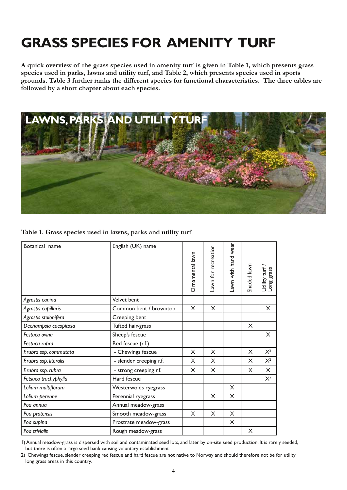# **Grass species for amenity turf**

**A quick overview of the grass species used in amenity turf is given in Table 1, which presents grass species used in parks, lawns and utility turf, and Table 2, which presents species used in sports grounds. Table 3 further ranks the different species for functional characteristics. The three tables are followed by a short chapter about each species.** 



**Table 1. Grass species used in lawns, parks and utility turf**

| Botanical name         | English (UK) name                | Ornamental lawn | awn for recreation | Lawn with hard wear | Shaded lawn | Utility turf<br>grass<br>Long |
|------------------------|----------------------------------|-----------------|--------------------|---------------------|-------------|-------------------------------|
| Agrostis canina        | Velvet bent                      |                 |                    |                     |             |                               |
| Agrostis capillaris    | Common bent / browntop           | X               | $\times$           |                     |             | X                             |
| Agrostis stolonifera   | Creeping bent                    |                 |                    |                     |             |                               |
| Dechampsia caespitosa  | Tufted hair-grass                |                 |                    |                     | X           |                               |
| Festuca ovina          | Sheep's fescue                   |                 |                    |                     |             | X                             |
| Festuca rubra          | Red fescue (r.f.)                |                 |                    |                     |             |                               |
| F.rubra ssp. commutata | - Chewings fescue                | X               | X                  |                     | X           | $X^2$                         |
| F.rubra ssp. litoralis | - slender creeping r.f.          | X               | X                  |                     | X           | $X^2$                         |
| F.rubra ssp. rubra     | - strong creeping r.f.           | X               | X                  |                     | X           | $\times$                      |
| Fetsuca trachyphylla   | Hard fescue                      |                 |                    |                     |             | $X^2$                         |
| Lolium multiflorum     | Westerwolds ryegrass             |                 |                    | X                   |             |                               |
| Lolium perenne         | Perennial ryegrass               |                 | X                  | X                   |             |                               |
| Poa annua              | Annual meadow-grass <sup>1</sup> |                 |                    |                     |             |                               |
| Poa pratensis          | Smooth meadow-grass              | X               | X                  | X                   |             |                               |
| Poa supina             | Prostrate meadow-grass           |                 |                    | X                   |             |                               |
| Poa trivialis          | Rough meadow-grass               |                 |                    |                     | X           |                               |

1) Annual meadow-grass is dispersed with soil and contaminated seed lots, and later by on-site seed production. It is rarely seeded, but there is often a large seed bank causing voluntary establishment

2) Chewings fescue, slender creeping red fescue and hard fescue are not native to Norway and should therefore not be for utility long grass areas in this country.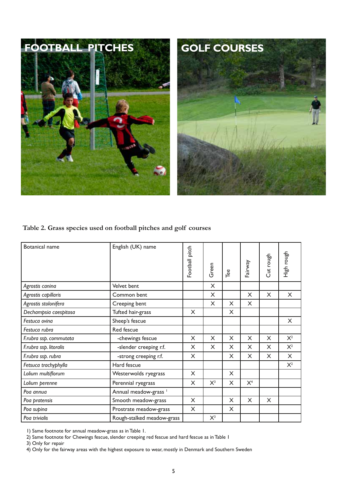



#### **Table 2. Grass species used on football pitches and golf courses**

| Botanical name         | English (UK) name                | Football pitch | Green    | Tee | Fairway        | Cut rough | High rough |
|------------------------|----------------------------------|----------------|----------|-----|----------------|-----------|------------|
| Agrostis canina        | Velvet bent                      |                | X        |     |                |           |            |
| Agrostis capillaris    | Common bent                      |                | $\times$ |     | $\times$       | $\times$  | $\times$   |
| Agrostis stolonifera   | Creeping bent                    |                | X        | X   | X              |           |            |
| Dechampsia caespitosa  | Tufted hair-grass                | X              |          | X   |                |           |            |
| Festuca ovina          | Sheep's fescue                   |                |          |     |                |           | X          |
| Festuca rubra          | Red fescue                       |                |          |     |                |           |            |
| F.rubra ssp. commutata | -chewings fescue                 | X              | X        | X   | X              | X         | $X^2$      |
| F.rubra ssp. litoralis | -slender creeping r.f.           | X              | X        | X   | X              | X         | $X^2$      |
| F.rubra ssp. rubra     | -strong creeping r.f.            | X              |          | X   | X              | X         | X          |
| Fetsuca trachyphylla   | Hard fescue                      |                |          |     |                |           | $X^2$      |
| Lolium multiflorum     | Westerwolds ryegrass             | X              |          | X   |                |           |            |
| Lolium perenne         | Perennial ryegrass               | X              | $X^3$    | X   | X <sup>4</sup> |           |            |
| Poa annua              | Annual meadow-grass <sup>1</sup> |                |          |     |                |           |            |
| Poa pratensis          | Smooth meadow-grass              | X              |          | X   | X              | X         |            |
| Poa supina             | Prostrate meadow-grass           | X              |          | X   |                |           |            |
| Poa trivialis          | Rough-stalked meadow-grass       |                | $X^3$    |     |                |           |            |

1) Same footnote for annual meadow-grass as in Table 1.

2) Same footnote for Chewings fescue, slender creeping red fescue and hard fescue as in Table 1

3) Only for repair

4) Only for the fairway areas with the highest exposure to wear, mostly in Denmark and Southern Sweden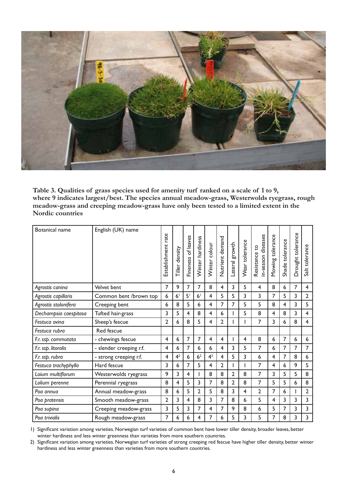

**Table 3. Qualities of grass species used for amenity turf ranked on a scale of 1 to 9, where 9 indicates largest/best. The species annual meadow-grass, Westerwolds ryegrass, rough meadow-grass and creeping meadow-grass have only been tested to a limited extent in the Nordic countries**

| <b>Botanical name</b> | English (UK) name       |                       |                   |                       |                  |                |                 |                |                |                                     |                  |                 |                   |                |
|-----------------------|-------------------------|-----------------------|-------------------|-----------------------|------------------|----------------|-----------------|----------------|----------------|-------------------------------------|------------------|-----------------|-------------------|----------------|
|                       |                         | rate<br>Establishment | density<br>Tiller | of leaves<br>Fineness | Winter hardiness | Winter colour  | Nutrient demand | Lateral growth | Wear tolerance | in-season diseases<br>Resistance to | Mowing tolerance | Shade tolerance | Drought tolerance | Salt tolerance |
| Agrostis canina       | Velvet bent             | 7                     | 9                 | 7                     | 7                | 8              | $\overline{4}$  | 3              | 5              | 4                                   | 8                | 6               | $\overline{7}$    | 4              |
| Agrostis capillaris   | Common bent /brown top  | 6                     | 6 <sup>1</sup>    | 5 <sup>1</sup>        | 6 <sup>1</sup>   | 4              | 5               | 5              | 3              | 3                                   | 7                | 5               | 3                 | $\overline{2}$ |
| Agrostis stolonifera  | Creeping bent           | 6                     | 8                 | 5                     | 6                | 4              | 7               | 7              | 5              | 5                                   | 8                | 4               | 3                 | 5              |
| Dechampsia caespitosa | Tufted hair-grass       | 3                     | 5                 | 4                     | 8                | 4              | 6               |                | 5              | 8                                   | 4                | 8               | 3                 | $\overline{4}$ |
| Festuca ovina         | Sheep's fescue          | $\overline{2}$        | 6                 | 8                     | 5                | 4              | $\overline{2}$  |                |                | 7                                   | 3                | 6               | 8                 | $\overline{4}$ |
| Festuca rubra         | Red fescue              |                       |                   |                       |                  |                |                 |                |                |                                     |                  |                 |                   |                |
| F.r. ssp. commutata   | - chewings fescue       | 4                     | 6                 | 7                     | 7                | 4              | 4               |                | 4              | 8                                   | 6                | 7               | 6                 | 6              |
| F.r. ssp. litoralis   | - slender creeping r.f. | 4                     | 6                 | 7                     | 6                | 6              | 4               | 3              | 5              | 7                                   | 6                | 7               | 7                 | 7              |
| F.r. ssp. rubra       | - strong creeping r.f.  | 4                     | 4 <sup>2</sup>    | 6                     | 6 <sup>2</sup>   | 4 <sup>2</sup> | 4               | 5              | 3              | 6                                   | 4                | 7               | 8                 | 6              |
| Festuca trachyphylla  | Hard fescue             | 3                     | 6                 | 7                     | 5                | 4              | $\overline{2}$  |                |                | 7                                   | 4                | 6               | 9                 | 5              |
| Loium multiflorum     | Westerwolds ryegrass    | 9                     | 3                 | 4                     |                  | 8              | 8               | 2              | 8              | 7                                   | 3                | 5               | 5                 | 8              |
| Lolium perenne        | Perennial ryegrass      | 8                     | 4                 | 5                     | 3                | 7              | 8               | $\overline{2}$ | 8              | 7                                   | 5                | 5               | 6                 | 8              |
| Poa annua             | Annual meadow-grass     | 8                     | 6                 | 5                     | 2                | 5              | 8               | 3              | 4              | $\overline{2}$                      | 7                | 6               |                   | $\overline{2}$ |
| Poa pratensis         | Smooth meadow-grass     | 2                     | 3                 | 4                     | 8                | 3              | 7               | 8              | 6              | 5                                   | 4                | 3               | 3                 | 3              |
| Poa supina            | Creeping meadow-grass   | 3                     | 5                 | 3                     | 7                | 4              | 7               | 9              | 8              | 6                                   | 5                | 7               | 3                 | 3              |
| Poa trivialis         | Rough meadow-grass      | 7                     | 6                 | 6                     | 4                | 7              | 6               | 5              | 3              | 5                                   | 7                | 8               | 3                 | 3              |

1) Significant variation among varieties. Norwegian turf varieties of common bent have lower tiller density, broader leaves, better winter hardiness and less winter greenness than varieties from more southern countries.

2) Significant variation among varieties. Norwegian turf varieties of strong creeping red fescue have higher tiller density, better winter hardiness and less winter greenness than varieties from more southern countries.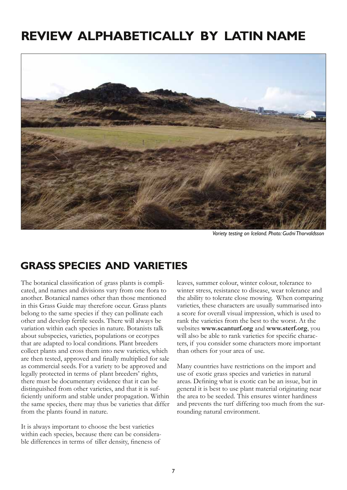# **Review alphabetically by Latin name**



*Variety testing on Iceland. Photo: Gudni Thorvaldsson*

## **Grass species and varieties**

The botanical classification of grass plants is complicated, and names and divisions vary from one flora to another. Botanical names other than those mentioned in this Grass Guide may therefore occur. Grass plants belong to the same species if they can pollinate each other and develop fertile seeds. There will always be variation within each species in nature. Botanists talk about subspecies, varieties, populations or ecotypes that are adapted to local conditions. Plant breeders collect plants and cross them into new varieties, which are then tested, approved and finally multiplied for sale as commercial seeds. For a variety to be approved and legally protected in terms of plant breeders' rights, there must be documentary evidence that it can be distinguished from other varieties, and that it is sufficiently uniform and stable under propagation. Within the same species, there may thus be varieties that differ from the plants found in nature.

It is always important to choose the best varieties within each species, because there can be considerable differences in terms of tiller density, fineness of

leaves, summer colour, winter colour, tolerance to winter stress, resistance to disease, wear tolerance and the ability to tolerate close mowing. When comparing varieties, these characters are usually summarised into a score for overall visual impression, which is used to rank the varieties from the best to the worst. At the websites **www.scanturf.org** and **www.sterf.org**, you will also be able to rank varieties for specific characters, if you consider some characters more important than others for your area of use.

Many countries have restrictions on the import and use of exotic grass species and varieties in natural areas. Defining what is exotic can be an issue, but in general it is best to use plant material originating near the area to be seeded. This ensures winter hardiness and prevents the turf differing too much from the surrounding natural environment.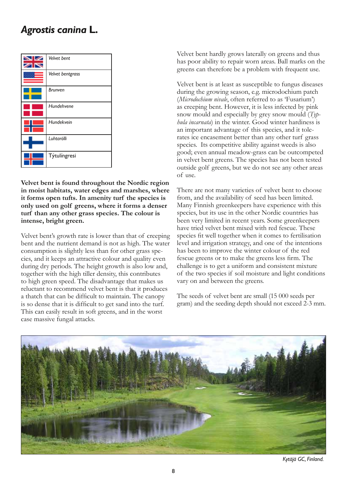## *Agrostis canina* **L.**



**Velvet bent is found throughout the Nordic region in moist habitats, water edges and marshes, where it forms open tufts. In amenity turf the species is only used on golf greens, where it forms a denser turf than any other grass species. The colour is intense, bright green.**

Velvet bent's growth rate is lower than that of creeping bent and the nutrient demand is not as high. The water consumption is slightly less than for other grass species, and it keeps an attractive colour and quality even during dry periods. The height growth is also low and, together with the high tiller density, this contributes to high green speed. The disadvantage that makes us reluctant to recommend velvet bent is that it produces a thatch that can be difficult to maintain. The canopy is so dense that it is difficult to get sand into the turf. This can easily result in soft greens, and in the worst case massive fungal attacks.

Velvet bent hardly grows laterally on greens and thus has poor ability to repair worn areas. Ball marks on the greens can therefore be a problem with frequent use.

Velvet bent is at least as susceptible to fungus diseases during the growing season, e.g. microdochium patch (*Microdochium nivale*, often referred to as 'Fusarium') as creeping bent. However, it is less infected by pink snow mould and especially by grey snow mould (*Typhula incarnata*) in the winter. Good winter hardiness is an important advantage of this species, and it tolerates ice encasement better than any other turf grass species. Its competitive ability against weeds is also good; even annual meadow-grass can be outcompeted in velvet bent greens. The species has not been tested outside golf greens, but we do not see any other areas of use.

There are not many varieties of velvet bent to choose from, and the availability of seed has been limited. Many Finnish greenkeepers have experience with this species, but its use in the other Nordic countries has been very limited in recent years. Some greenkeepers have tried velvet bent mixed with red fescue. These species fit well together when it comes to fertilisation level and irrigation strategy, and one of the intentions has been to improve the winter colour of the red fescue greens or to make the greens less firm. The challenge is to get a uniform and consistent mixture of the two species if soil moisture and light conditions vary on and between the greens.

The seeds of velvet bent are small (15 000 seeds per gram) and the seeding depth should not exceed 2-3 mm.



*Kytäjä GC, Finland.*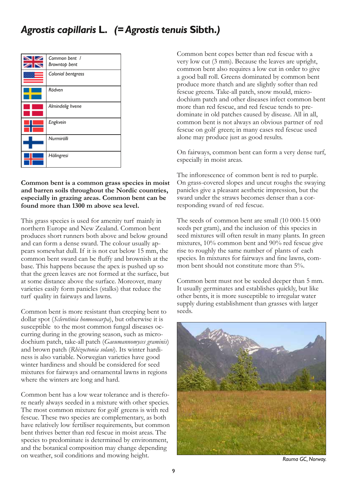

#### **Common bent is a common grass species in moist and barren soils throughout the Nordic countries, especially in grazing areas. Common bent can be found more than 1300 m above sea level.**

This grass species is used for amenity turf mainly in northern Europe and New Zealand. Common bent produces short runners both above and below ground and can form a dense sward. The colour usually appears somewhat dull. If it is not cut below 15 mm, the common bent sward can be fluffy and brownish at the base. This happens because the apex is pushed up so that the green leaves are not formed at the surface, but at some distance above the surface. Moreover, many varieties easily form panicles (stalks) that reduce the turf quality in fairways and lawns.

Common bent is more resistant than creeping bent to dollar spot (*Sclerotinia homoeocarpa*), but otherwise it is susceptible to the most common fungal diseases occurring during in the growing season, such as microdochium patch, take-all patch (*Gaeumannomyces graminis*) and brown patch (*Rhizoctonia solani*). Its winter hardiness is also variable. Norwegian varieties have good winter hardiness and should be considered for seed mixtures for fairways and ornamental lawns in regions where the winters are long and hard.

Common bent has a low wear tolerance and is therefore nearly always seeded in a mixture with other species. The most common mixture for golf greens is with red fescue. These two species are complementary, as both have relatively low fertiliser requirements, but common bent thrives better than red fescue in moist areas. The species to predominate is determined by environment, and the botanical composition may change depending on weather, soil conditions and mowing height.

Common bent copes better than red fescue with a very low cut (3 mm). Because the leaves are upright, common bent also requires a low cut in order to give a good ball roll. Greens dominated by common bent produce more thatch and are slightly softer than red fescue greens. Take-all patch, snow mould, microdochium patch and other diseases infect common bent more than red fescue, and red fescue tends to predominate in old patches caused by disease. All in all, common bent is not always an obvious partner of red fescue on golf green; in many cases red fescue used alone may produce just as good results.

On fairways, common bent can form a very dense turf, especially in moist areas.

The inflorescence of common bent is red to purple. On grass-covered slopes and uncut roughs the swaying panicles give a pleasant aesthetic impression, but the sward under the straws becomes denser than a corresponding sward of red fescue.

The seeds of common bent are small (10 000-15 000 seeds per gram), and the inclusion of this species in seed mixtures will often result in many plants. In green mixtures, 10% common bent and 90% red fescue give rise to roughly the same number of plants of each species. In mixtures for fairways and fine lawns, common bent should not constitute more than 5%.

Common bent must not be seeded deeper than 5 mm. It usually germinates and establishes quickly, but like other bents, it is more susceptible to irregular water supply during establishment than grasses with larger seeds.



*Rauma GC, Norway.*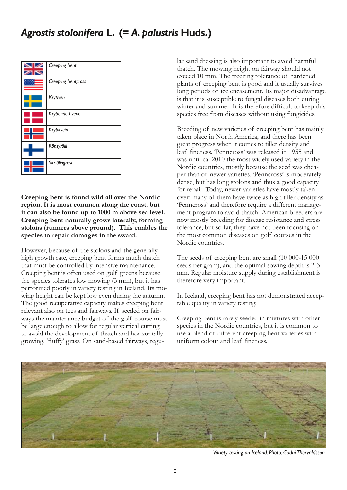## *Agrostis stolonifera* **L. (=** *A. palustris* **Huds.)**



**Creeping bent is found wild all over the Nordic region. It is most common along the coast, but it can also be found up to 1000 m above sea level. Creeping bent naturally grows laterally, forming stolons (runners above ground). This enables the species to repair damages in the sward.** 

However, because of the stolons and the generally high growth rate, creeping bent forms much thatch that must be controlled by intensive maintenance. Creeping bent is often used on golf greens because the species tolerates low mowing (3 mm), but it has performed poorly in variety testing in Iceland. Its mowing height can be kept low even during the autumn. The good recuperative capacity makes creeping bent relevant also on tees and fairways. If seeded on fairways the maintenance budget of the golf course must be large enough to allow for regular vertical cutting to avoid the development of thatch and horizontally growing, 'fluffy' grass. On sand-based fairways, regular sand dressing is also important to avoid harmful thatch. The mowing height on fairway should not exceed 10 mm. The freezing tolerance of hardened plants of creeping bent is good and it usually survives long periods of ice encasement. Its major disadvantage is that it is susceptible to fungal diseases both during winter and summer. It is therefore difficult to keep this species free from diseases without using fungicides.

Breeding of new varieties of creeping bent has mainly taken place in North America, and there has been great progress when it comes to tiller density and leaf fineness. 'Penncross' was released in 1955 and was until ca. 2010 the most widely used variety in the Nordic countries, mostly because the seed was cheaper than of newer varieties. 'Penncross' is moderately dense, but has long stolons and thus a good capacity for repair. Today, newer varieties have mostly taken over; many of them have twice as high tiller density as 'Penncross' and therefore require a different management program to avoid thatch. American breeders are now mostly breeding for disease resistance and stress tolerance, but so far, they have not been focusing on the most common diseases on golf courses in the Nordic countries.

The seeds of creeping bent are small (10 000-15 000 seeds per gram), and the optimal sowing depth is 2-3 mm. Regular moisture supply during establishment is therefore very important.

In Iceland, creeping bent has not demonstrated acceptable quality in variety testing.

Creeping bent is rarely seeded in mixtures with other species in the Nordic countries, but it is common to use a blend of different creeping bent varieties with uniform colour and leaf fineness.



*Variety testing on Iceland. Photo: Gudni Thorvaldsson*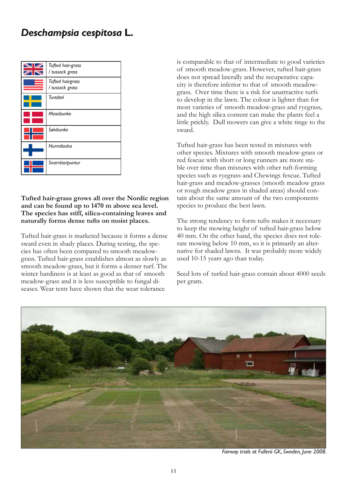## *Deschampsia cespitosa* **L.**

| Tufted hair-grass<br>/ tussock grass       |
|--------------------------------------------|
| <b>Tufted hairgrass</b><br>/ tussock grass |
| Tuvtåtel                                   |
| Mosebunke                                  |
| Sølvbunke                                  |
| Nurmilauha                                 |
| Snarrótarpuntur                            |

#### **Tufted hair-grass grows all over the Nordic region and can be found up to 1470 m above sea level. The species has stiff, silica-containing leaves and naturally forms dense tufts on moist places.**

Tufted hair-grass is marketed because it forms a dense sward even in shady places. During testing, the species has often been compared to smooth meadowgrass. Tufted hair-grass establishes almost as slowly as smooth meadow-grass, but it forms a denser turf. The winter hardiness is at least as good as that of smooth meadow-grass and it is less susceptible to fungal diseases. Wear tests have shown that the wear tolerance

is comparable to that of intermediate to good varieties of smooth meadow-grass. However, tufted hair-grass does not spread laterally and the recuperative capacity is therefore inferior to that of smooth meadowgrass. Over time there is a risk for unattractive turfs to develop in the lawn. The colour is lighter than for most varieties of smooth meadow-grass and ryegrass, and the high silica content can make the plants feel a little prickly. Dull mowers can give a white tinge to the sward.

Tufted hair-grass has been tested in mixtures with other species. Mixtures with smooth meadow-grass or red fescue with short or long runners are more stable over time than mixtures with other tuft-forming species such as ryegrass and Chewings fescue. Tufted hair-grass and meadow-grasses (smooth meadow grass or rough meadow grass in shaded areas) should contain about the same amount of the two components species to produce the best lawn.

The strong tendency to form tufts makes it necessary to keep the mowing height of tufted hair-grass below 40 mm. On the other hand, the species does not tolerate mowing below 10 mm, so it is primarily an alternative for shaded lawns. It was probably more widely used 10-15 years ago than today.

Seed lots of turfed hair-grass contain about 4000 seeds per gram.



*Fairway trials at Fullerö GK, Sweden, June 2008.*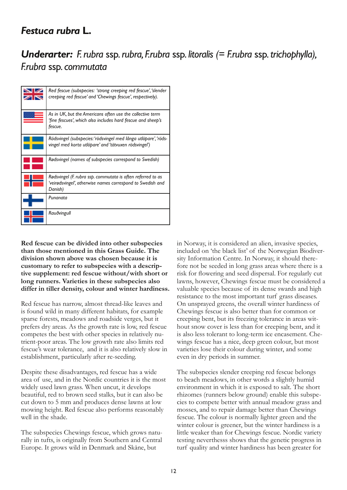### *Festuca rubra* **L.**

## *Underarter: F. rubra* ssp*. rubra, F.rubra* ssp*. litoralis (= F.rubra* ssp*. trichophylla), F.rubra* ssp*. commutata*

| Red fescue (subspecies: 'strong creeping red fescue', 'slender<br>creeping red fescue' and 'Chewings fescue', respectively).         |
|--------------------------------------------------------------------------------------------------------------------------------------|
| As in UK, but the Americans often use the collective term<br>'fine fescues', which also includes hard fescue and sheep's<br>fescue.  |
| Rödsvingel (subspecies: 'rödsvingel med långa utlöpare', 'röds-<br>vingel med korta utlöpare' and 'tätvuxen rödsvingel')             |
| Rødsvingel (names of subspecies correspond to Swedish)                                                                               |
| Rødsvingel (F. rubra ssp. commutata is often referred to as<br>'veirødsvingel', otherwise names correspond to Swedish and<br>Danish) |
| Punanata                                                                                                                             |
| Rauðvingull                                                                                                                          |

**Red fescue can be divided into other subspecies than those mentioned in this Grass Guide. The division shown above was chosen because it is customary to refer to subspecies with a descriptive supplement: red fescue without/with short or long runners. Varieties in these subspecies also differ in tiller density, colour and winter hardiness.** 

Red fescue has narrow, almost thread-like leaves and is found wild in many different habitats, for example sparse forests, meadows and roadside verges, but it prefers dry areas. As the growth rate is low, red fescue competes the best with other species in relatively nutrient-poor areas. The low growth rate also limits red fescue's wear tolerance, and it is also relatively slow in establishment, particularly after re-seeding.

Despite these disadvantages, red fescue has a wide area of use, and in the Nordic countries it is the most widely used lawn grass. When uncut, it develops beautiful, red to brown seed stalks, but it can also be cut down to 5 mm and produces dense lawns at low mowing height. Red fescue also performs reasonably well in the shade.

The subspecies Chewings fescue, which grows naturally in tufts, is originally from Southern and Central Europe. It grows wild in Denmark and Skåne, but

in Norway, it is considered an alien, invasive species, included on 'the black list' of the Norwegian Biodiversity Information Centre. In Norway, it should therefore not be seeded in long grass areas where there is a risk for flowering and seed dispersal. For regularly cut lawns, however, Chewings fescue must be considered a valuable species because of its dense swards and high resistance to the most important turf grass diseases. On unsprayed greens, the overall winter hardiness of Chewings fescue is also better than for common or creeping bent, but its freezing tolerance in areas without snow cover is less than for creeping bent, and it is also less tolerant to long-term ice encasement. Chewings fescue has a nice, deep green colour, but most varieties lose their colour during winter, and some even in dry periods in summer.

The subspecies slender creeping red fescue belongs to beach meadows, in other words a slightly humid environment in which it is exposed to salt. The short rhizomes (runners below ground) enable this subspecies to compete better with annual meadow grass and mosses, and to repair damage better than Chewings fescue. The colour is normally lighter green and the winter colour is greener, but the winter hardiness is a little weaker than for Chewings fescue. Nordic variety testing neverthesss shows that the genetic progress in turf quality and winter hardiness has been greater for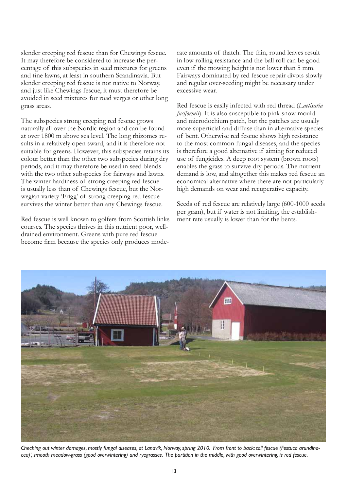slender creeping red fescue than for Chewings fescue. It may therefore be considered to increase the percentage of this subspecies in seed mixtures for greens and fine lawns, at least in southern Scandinavia. But slender creeping red fescue is not native to Norway, and just like Chewings fescue, it must therefore be avoided in seed mixtures for road verges or other long grass areas.

The subspecies strong creeping red fescue grows naturally all over the Nordic region and can be found at over 1800 m above sea level. The long rhizomes results in a relatively open sward, and it is therefore not suitable for greens. However, this subspecies retains its colour better than the other two subspecies during dry periods, and it may therefore be used in seed blends with the two other subspecies for fairways and lawns. The winter hardiness of strong creeping red fescue is usually less than of Chewings fescue, but the Norwegian variety 'Frigg' of strong creeping red fescue survives the winter better than any Chewings fescue.

Red fescue is well known to golfers from Scottish links courses. The species thrives in this nutrient poor, welldrained environment. Greens with pure red fescue become firm because the species only produces moderate amounts of thatch. The thin, round leaves result in low rolling resistance and the ball roll can be good even if the mowing height is not lower than 5 mm. Fairways dominated by red fescue repair divots slowly and regular over-seeding might be necessary under excessive wear.

Red fescue is easily infected with red thread (*Laetisaria fuciformis*). It is also susceptible to pink snow mould and microdochium patch, but the patches are usually more superficial and diffuse than in alternative species of bent. Otherwise red fescue shows high resistance to the most common fungal diseases, and the species is therefore a good alternative if aiming for reduced use of fungicides. A deep root system (brown roots) enables the grass to survive dry periods. The nutrient demand is low, and altogether this makes red fescue an economical alternative where there are not particularly high demands on wear and recuperative capacity.

Seeds of red fescue are relatively large (600-1000 seeds per gram), but if water is not limiting, the establishment rate usually is lower than for the bents.



*Checking out winter damages, mostly fungal diseases, at Landvik, Norway, spring 2010. From front to back: tall fescue (Festuca arundinacea)', smooth meadow-grass (good overwintering) and ryegrasses. The partition in the middle, with good overwintering, is red fescue.*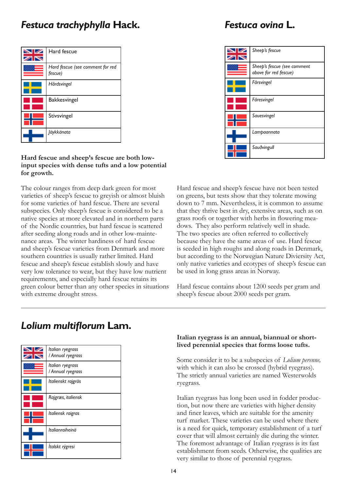#### *Festuca trachyphylla* **Hack.** *Festuca ovina* **L.**

| Hard fescue                                 |
|---------------------------------------------|
| Hard fescue (see comment for red<br>fescue) |
| Hårdsvingel                                 |
| Bakkesvingel                                |
| Stivsvingel                                 |
| <i>läykkänata</i>                           |

#### **Hard fescue and sheep's fescue are both lowinput species with dense tufts and a low potential for growth.**

The colour ranges from deep dark green for most varieties of sheep's fescue to greyish or almost bluish for some varieties of hard fescue. There are several subspecies. Only sheep's fescue is considered to be a native species at more elevated and in northern parts of the Nordic countries, but hard fescue is scattered after seeding along roads and in other low-maintenance areas. The winter hardiness of hard fescue and sheep's fescue varieties from Denmark and more southern countries is usually rather limited. Hard fescue and sheep's fescue establish slowly and have very low tolerance to wear, but they have low nutrient requirements, and especially hard fescue retains its green colour better than any other species in situations with extreme drought stress.

| Sheep's fescue                                       |
|------------------------------------------------------|
| Sheep's fescue (see comment<br>above for red fescue) |
| Fårsvingel                                           |
| Fåresvingel                                          |
| Sauesvingel                                          |
| Lampaannata                                          |
| Sauðvingull                                          |

Hard fescue and sheep's fescue have not been tested on greens, but tests show that they tolerate mowing down to 7 mm. Nevertheless, it is common to assume that they thrive best in dry, extensive areas, such as on grass roofs or together with herbs in flowering meadows. They also perform relatively well in shade. The two species are often referred to collectively because they have the same areas of use. Hard fescue is seeded in high roughs and along roads in Denmark, but according to the Norwegian Nature Diviersity Act, only native varieties and ecotypes of sheep's fescue can be used in long grass areas in Norway.

Hard fescue contains about 1200 seeds per gram and sheep's fescue about 2000 seeds per gram.

#### *Italian ryegrass / Annual ryegrass* ∞∝ *Italian ryegrass / Annual ryegrass Italienskt rajgräs Rajgræs, italiensk Italiensk raigras Italianraiheinä Ítalskt rýgresi*

## *Lolium multiflorum* **Lam.**

#### **Italian ryegrass is an annual, biannual or shortlived perennial species that forms loose tufts.**

Some consider it to be a subspecies of *Lolium perenne,* with which it can also be crossed (hybrid ryegrass). The strictly annual varieties are named Westerwolds ryegrass.

Italian ryegrass has long been used in fodder production, but now there are varieties with higher density and finer leaves, which are suitable for the amenity turf market. These varieties can be used where there is a need for quick, temporary establishment of a turf cover that will almost certainly die during the winter. The foremost advantage of Italian ryegrass is its fast establishment from seeds. Otherwise, the qualities are very similar to those of perennial ryegrass.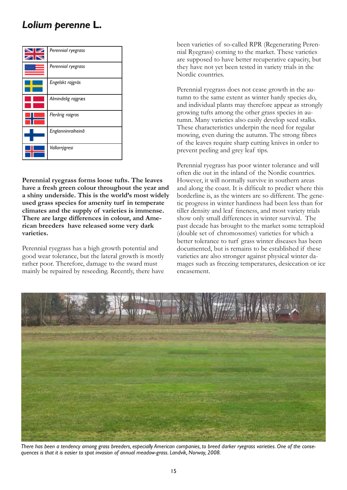### *Lolium perenne* **L.**



**Perennial ryegrass forms loose tufts. The leaves have a fresh green colour throughout the year and a shiny underside. This is the world's most widely used grass species for amenity turf in temperate climates and the supply of varieties is immense. There are large differences in colour, and American breeders have released some very dark varieties.** 

Perennial ryegrass has a high growth potential and good wear tolerance, but the lateral growth is mostly rather poor. Therefore, damage to the sward must mainly be repaired by reseeding. Recently, there have

been varieties of so-called RPR (Regenerating Perennial Ryegrass) coming to the market. These varieties are supposed to have better recuperative capacity, but they have not yet been tested in variety trials in the Nordic countries.

Perennial ryegrass does not cease growth in the autumn to the same extent as winter hardy species do, and individual plants may therefore appear as strongly growing tufts among the other grass species in autumn. Many varieties also easily develop seed stalks. These characteristics underpin the need for regular mowing, even during the autumn. The strong fibres of the leaves require sharp cutting knives in order to prevent peeling and grey leaf tips.

Perennial ryegrass has poor winter tolerance and will often die out in the inland of the Nordic countries. However, it will normally survive in southern areas and along the coast. It is difficult to predict where this borderline is, as the winters are so different. The genetic progress in winter hardiness had been less than for tiller density and leaf fineness, and most variety trials show only small differences in winter survival. The past decade has brought to the market some tetraploid (double set of chromosomes) varieties for which a better tolerance to turf grass winter diseases has been documented, but is remains to be established if these varieties are also stronger against physical winter damages such as freezing temperatures, desiccation or ice encasement.



*There has been a tendency among grass breeders, especially American companies, to breed darker ryegrass varieties. One of the consequences is that it is easier to spot invasion of annual meadow-grass. Landvik, Norway, 2008.*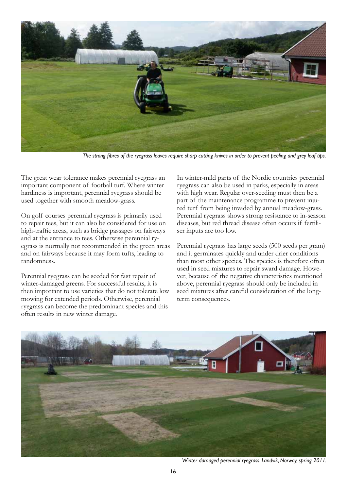

*The strong fibres of the ryegrass leaves require sharp cutting knives in order to prevent peeling and grey leaf tips.*

The great wear tolerance makes perennial ryegrass an important component of football turf. Where winter hardiness is important, perennial ryegrass should be used together with smooth meadow-grass.

On golf courses perennial ryegrass is primarily used to repair tees, but it can also be considered for use on high-traffic areas, such as bridge passages on fairways and at the entrance to tees. Otherwise perennial ryegrass is normally not recommended in the green areas and on fairways because it may form tufts, leading to randomness.

Perennial ryegrass can be seeded for fast repair of winter-damaged greens. For successful results, it is then important to use varieties that do not tolerate low mowing for extended periods. Otherwise, perennial ryegrass can become the predominant species and this often results in new winter damage.

In winter-mild parts of the Nordic countries perennial ryegrass can also be used in parks, especially in areas with high wear. Regular over-seeding must then be a part of the maintenance programme to prevent injured turf from being invaded by annual meadow-grass. Perennial ryegrass shows strong resistance to in-season diseases, but red thread disease often occurs if fertiliser inputs are too low.

Perennial ryegrass has large seeds (500 seeds per gram) and it germinates quickly and under drier conditions than most other species. The species is therefore often used in seed mixtures to repair sward damage. However, because of the negative characteristics mentioned above, perennial ryegrass should only be included in seed mixtures after careful consideration of the longterm consequences.



*Winter damaged perennial ryegrass. Landvik, Norway, spring 2011.*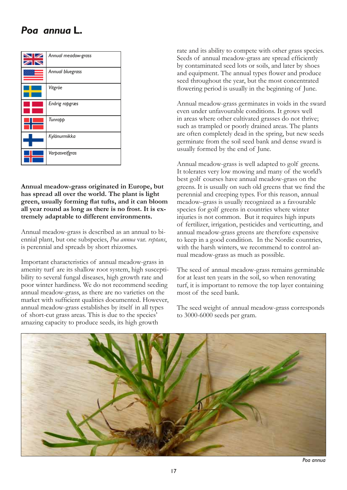### *Poa annua* **L.**



#### **Annual meadow-grass originated in Europe, but has spread all over the world. The plant is light green, usually forming flat tufts, and it can bloom all year round as long as there is no frost. It is extremely adaptable to different environments.**

Annual meadow-grass is described as an annual to biennial plant, but one subspecies, *Poa annua* var. *reptans*, is perennial and spreads by short rhizomes.

Important characteristics of annual meadow-grass in amenity turf are its shallow root system, high susceptibility to several fungal diseases, high growth rate and poor winter hardiness. We do not recommend seeding annual meadow-grass, as there are no varieties on the market with sufficient qualities documented. However, annual meadow-grass establishes by itself in all types of short-cut grass areas. This is due to the species' amazing capacity to produce seeds, its high growth

rate and its ability to compete with other grass species. Seeds of annual meadow-grass are spread efficiently by contaminated seed lots or soils, and later by shoes and equipment. The annual types flower and produce seed throughout the year, but the most concentrated flowering period is usually in the beginning of June.

Annual meadow-grass germinates in voids in the sward even under unfavourable conditions. It grows well in areas where other cultivated grasses do not thrive; such as trampled or poorly drained areas. The plants are often completely dead in the spring, but new seeds germinate from the soil seed bank and dense sward is usually formed by the end of June.

Annual meadow-grass is well adapted to golf greens. It tolerates very low mowing and many of the world's best golf courses have annual meadow-grass on the greens. It is usually on such old greens that we find the perennial and creeping types. For this reason, annual meadow–grass is usually recognized as a favourable species for golf greens in countries where winter injuries is not common. But it requires high inputs of fertilizer, irrigation, pesticides and verticutting, and annual meadow-grass greens are therefore expensive to keep in a good condition. In the Nordic countries, with the harsh winters, we recommend to control annual meadow-grass as much as possible.

The seed of annual meadow-grass remains germinable for at least ten years in the soil, so when renovating turf, it is important to remove the top layer containing most of the seed bank.

The seed weight of annual meadow-grass corresponds to 3000-6000 seeds per gram.

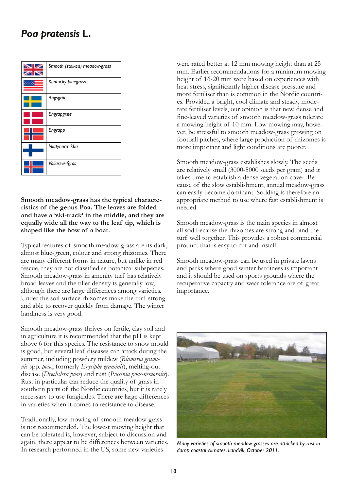#### *Poa pratensis* **L.**

| Smooth (stalked) meadow-grass |
|-------------------------------|
| Kentucky bluegrass            |
| Ängsgröe                      |
| Engrapgræs                    |
| Engrapp                       |
| Niittynurmikka                |
| Vallarsveifgras               |

**Smooth meadow-grass has the typical characteristics of the genus Poa. The leaves are folded and have a 'ski-track' in the middle, and they are equally wide all the way to the leaf tip, which is shaped like the bow of a boat.** 

Typical features of smooth meadow-grass are its dark, almost blue-green, colour and strong rhizomes. There are many different forms in nature, but unlike in red fescue, they are not classified as botanical subspecies. Smooth meadow-grass in amenity turf has relatively broad leaves and the tiller density is generally low, although there are large differences among varieties. Under the soil surface rhizomes make the turf strong and able to recover quickly from damage. The winter hardiness is very good.

Smooth meadow-grass thrives on fertile, clay soil and in agriculture it is recommended that the pH is kept above 6 for this species. The resistance to snow mould is good, but several leaf diseases can attack during the summer, including powdery mildew (*Blumeria graminis* spp. *poae*, formerly *Erysiphe graminis*), melting-out disease (*Drechslera poae*) and rust (*Puccinia poae-nemoralis*). Rust in particular can reduce the quality of grass in southern parts of the Nordic countries, but it is rarely necessary to use fungicides. There are large differences in varieties when it comes to resistance to disease.

Traditionally, low mowing of smooth meadow-grass is not recommended. The lowest mowing height that can be tolerated is, however, subject to discussion and again, there appear to be differences between varieties. In research performed in the US, some new varieties

were rated better at 12 mm mowing height than at 25 mm. Earlier recommendations for a minimum mowing height of 16-20 mm were based on experiences with heat stress, significantly higher disease pressure and more fertiliser than is common in the Nordic countries. Provided a bright, cool climate and steady, moderate fertiliser levels, our opinion is that new, dense and fine-leaved varieties of smooth meadow-grass tolerate a mowing height of 10 mm. Low mowing may, however, be stressful to smooth meadow-grass growing on football pitches, where large production of rhizomes is more important and light conditions are poorer.

Smooth meadow-grass establishes slowly. The seeds are relatively small (3000-5000 seeds per gram) and it takes time to establish a dense vegetation cover. Because of the slow establishment, annual meadow-grass can easily become dominant. Sodding is therefore an appropriate method to use where fast establishment is needed.

Smooth meadow-grass is the main species in almost all sod because the rhizomes are strong and bind the turf well together. This provides a robust commercial product that is easy to cut and install.

Smooth meadow-grass can be used in private lawns and parks where good winter hardiness is important and it should be used on sports grounds where the recuperative capacity and wear tolerance are of great importance.



*Many varieties of smooth meadow-grasses are attacked by rust in damp coastal climates. Landvik, October 2011.*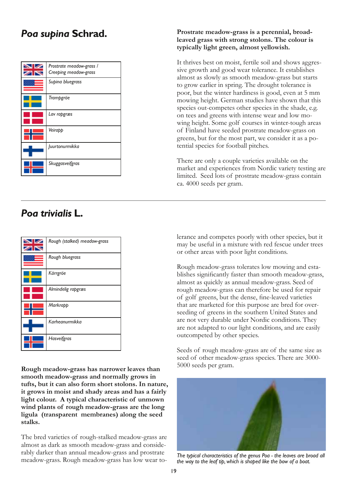| Prostrate meadow-grass /<br>Creeping meadow-grass |
|---------------------------------------------------|
| Supina bluegrass                                  |
| Trampgröe                                         |
| Lav rapgræs                                       |
| Veirapp                                           |
| Juurtonurmikka                                    |
| Skuggasveifgras                                   |

#### **Poa supina Schrad.** Prostrate meadow-grass is a perennial, broad**leaved grass with strong stolons. The colour is typically light green, almost yellowish.**

It thrives best on moist, fertile soil and shows aggressive growth and good wear tolerance. It establishes almost as slowly as smooth meadow-grass but starts to grow earlier in spring. The drought tolerance is poor, but the winter hardiness is good, even at 5 mm mowing height. German studies have shown that this species out-competes other species in the shade, e.g. on tees and greens with intense wear and low mowing height. Some golf courses in winter-tough areas of Finland have seeded prostrate meadow-grass on greens, but for the most part, we consider it as a potential species for football pitches.

There are only a couple varieties available on the market and experiences from Nordic variety testing are limited. Seed lots of prostrate meadow-grass contain ca. 4000 seeds per gram.

## *Poa trivialis* **L.**

| Rough (stalked) meadow-grass |
|------------------------------|
| Rough bluegrass              |
| Kärrgröe                     |
| Almindelig rapgræs           |
| Markrapp                     |
| Karheanurmikka               |
| Hasveifgras                  |

**Rough meadow-grass has narrower leaves than smooth meadow-grass and normally grows in tufts, but it can also form short stolons. In nature, it grows in moist and shady areas and has a fairly light colour. A typical characteristic of unmown wind plants of rough meadow-grass are the long ligula (transparent membranes) along the seed stalks.**

The bred varieties of rough-stalked meadow-grass are almost as dark as smooth meadow-grass and considerably darker than annual meadow-grass and prostrate meadow-grass. Rough meadow-grass has low wear tolerance and competes poorly with other species, but it may be useful in a mixture with red fescue under trees or other areas with poor light conditions.

Rough meadow-grass tolerates low mowing and establishes significantly faster than smooth meadow-grass, almost as quickly as annual meadow-grass. Seed of rough meadow-grass can therefore be used for repair of golf greens, but the dense, fine-leaved varieties that are marketed for this purpose are bred for overseeding of greens in the southern United States and are not very durable under Nordic conditions. They are not adapted to our light conditions, and are easily outcompeted by other species.

Seeds of rough meadow-grass are of the same size as seed of other meadow-grass species. There are 3000- 5000 seeds per gram.



*The typical characteristics of the genus Poa - the leaves are broad all the way to the leaf tip, which is shaped like the bow of a boat.*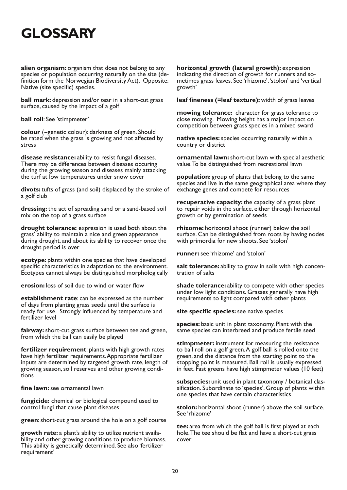# **Glossary**

**alien organism:** organism that does not belong to any species or population occurring naturally on the site (definition form the Norwegian Biodiversity Act). Opposite: Native (site specific) species.

**ball mark:** depression and/or tear in a short-cut grass surface, caused by the impact of a golf

**ball roll**: See 'stimpmeter'

**colour** (=genetic colour): darkness of green. Should be rated when the grass is growing and not affected by stress

**disease resistance:** ability to resist fungal diseases. There may be differences between diseases occuring during the growing season and diseases mainly attacking the turf at low temperatures under snow cover

**divots:** tufts of grass (and soil) displaced by the stroke of a golf club

**dressing:** the act of spreading sand or a sand-based soil mix on the top of a grass surface

**drought tolerance:** expression is used both about the grass' ability to maintain a nice and green appearance during drought, and about its ability to recover once the drought period is over

**ecotype:** plants within one species that have developed specific characteristics in adaptation to the environment. Ecotypes cannot always be distinguished morphologically

**erosion:** loss of soil due to wind or water flow

**establishment rate**: can be expressed as the number of days from planting grass seeds until the surface is ready for use. Strongly influenced by temperature and fertilizer level

**fairway:** short-cut grass surface between tee and green, from which the ball can easily be played

**fertilizer requirement**: plants with high growth rates have high fertilizer requirements. Appropriate fertilizer inputs are determined by targeted growth rate, length of growing season, soil reserves and other growing conditions

**fine lawn:** see ornamental lawn

**fungicide:** chemical or biological compound used to control fungi that cause plant diseases

**green**: short-cut grass around the hole on a golf course

**growth rate:** a plant's ability to utilize nutrient availa- bility and other growing conditions to produce biomass. This ability is genetically determined. See also 'fertilizer requirement'

**horizontal growth (lateral growth):** expression indicating the direction of growth for runners and sometimes grass leaves. See 'rhizome', 'stolon' and 'vertical growth'

**leaf fineness (=leaf texture):** width of grass leaves

**mowing tolerance:** character for grass tolerance to close mowing. Mowing height has a major impact on competition between grass species in a mixed sward

**native species:** species occurring naturally within a country or district

**ornamental lawn:** short-cut lawn with special aesthetic value. To be distinguished from recreational lawn

**population:** group of plants that belong to the same species and live in the same geographical area where they exchange genes and compete for resources

**recuperative capacity:** the capacity of a grass plant to repair voids in the surface, either through horizontal growth or by germination of seeds

**rhizome:** horizontal shoot (runner) below the soil surface. Can be distinguished from roots by having nodes with primordia for new shoots. See 'stolon'

**runner:** see 'rhizome' and 'stolon'

salt tolerance: ability to grow in soils with high concentration of salts

**shade tolerance:** ability to compete with other species under low light conditions. Grasses generally have high requirements to light compared with other plants

**site specific species:** see native species

**species:** basic unit in plant taxonomy. Plant with the same species can interbreed and produce fertile seed

**stimpmeter:** instrument for measuring the resistance to ball roll on a golf green. A golf ball is rolled onto the green, and the distance from the starting point to the stopping point is measured. Ball roll is usually expressed in feet. Fast greens have high stimpmeter values (10 feet)

**subspecies:** unit used in plant taxonomy / botanical classification. Subordinate to 'species'. Group of plants within one species that have certain characteristics

**stolon:** horizontal shoot (runner) above the soil surface. See 'rhizome'

**tee:** area from which the golf ball is first played at each hole. The tee should be flat and have a short-cut grass cover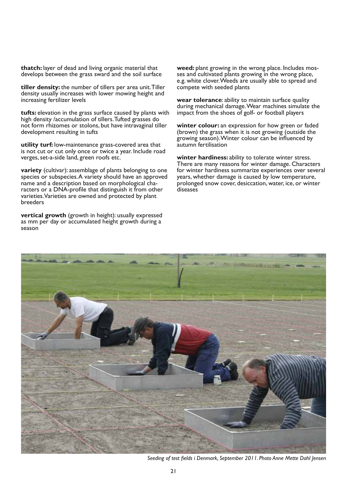**thatch:** layer of dead and living organic material that develops between the grass sward and the soil surface

**tiller density:** the number of tillers per area unit. Tiller density usually increases with lower mowing height and increasing fertilizer levels

**tufts:** elevation in the grass surface caused by plants with high density /accumulation of tillers. Tufted grasses do not form rhizomes or stolons, but have intravaginal tiller development resulting in tufts

**utility turf:** low-maintenance grass-covered area that is not cut or cut only once or twice a year. Include road verges, set-a-side land, green roofs etc.

**variety** (cultivar): assemblage of plants belonging to one species or subspecies. A variety should have an approved name and a description based on morphological characters or a DNA-profile that distinguish it from other varieties. Varieties are owned and protected by plant breeders

**vertical growth** (growth in height): usually expressed as mm per day or accumulated height growth during a season

**weed:** plant growing in the wrong place. Includes mosses and cultivated plants growing in the wrong place, e.g. white clover. Weeds are usually able to spread and compete with seeded plants

**wear tolerance**: ability to maintain surface quality during mechanical damage. Wear machines simulate the impact from the shoes of golf- or football players

**winter colour:** an expression for how green or faded (brown) the grass when it is not growing (outside the growing season). Winter colour can be influenced by autumn fertilisation

**winter hardiness:** ability to tolerate winter stress. There are many reasons for winter damage. Characters for winter hardiness summarize experiences over several years, whether damage is caused by low temperature, prolonged snow cover, desiccation, water, ice, or winter diseases



*Seeding of test fields i Denmark, September 2011. Photo Anne Mette Dahl Jensen*